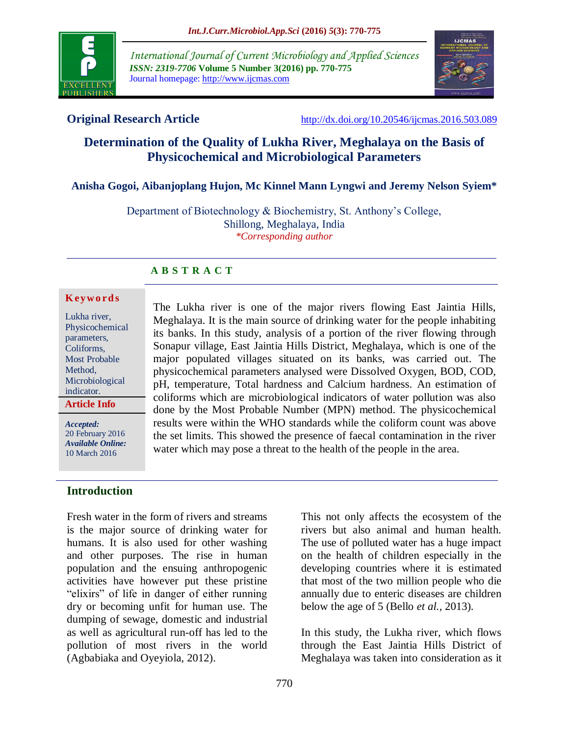

*International Journal of Current Microbiology and Applied Sciences ISSN: 2319-7706* **Volume 5 Number 3(2016) pp. 770-775** Journal homepage: http://www.ijcmas.com



**Original Research Article** <http://dx.doi.org/10.20546/ijcmas.2016.503.089>

# **Determination of the Quality of Lukha River, Meghalaya on the Basis of Physicochemical and Microbiological Parameters**

#### **Anisha Gogoi, Aibanjoplang Hujon, Mc Kinnel Mann Lyngwi and Jeremy Nelson Syiem\***

Department of Biotechnology & Biochemistry, St. Anthony's College, Shillong, Meghalaya, India *\*Corresponding author*

#### **A B S T R A C T**

#### **K ey w o rd s**

Lukha river, Physicochemical parameters, Coliforms, Most Probable Method, Microbiological indicator. **Article Info**

*Accepted:*  20 February 2016 *Available Online:* 10 March 2016

#### **Introduction**

Fresh water in the form of rivers and streams is the major source of drinking water for humans. It is also used for other washing and other purposes. The rise in human population and the ensuing anthropogenic activities have however put these pristine "elixirs" of life in danger of either running dry or becoming unfit for human use. The dumping of sewage, domestic and industrial as well as agricultural run-off has led to the pollution of most rivers in the world (Agbabiaka and Oyeyiola, 2012).

The Lukha river is one of the major rivers flowing East Jaintia Hills, Meghalaya. It is the main source of drinking water for the people inhabiting its banks. In this study, analysis of a portion of the river flowing through Sonapur village, East Jaintia Hills District, Meghalaya, which is one of the major populated villages situated on its banks, was carried out. The physicochemical parameters analysed were Dissolved Oxygen, BOD, COD, pH, temperature, Total hardness and Calcium hardness. An estimation of coliforms which are microbiological indicators of water pollution was also done by the Most Probable Number (MPN) method. The physicochemical results were within the WHO standards while the coliform count was above the set limits. This showed the presence of faecal contamination in the river water which may pose a threat to the health of the people in the area.

> This not only affects the ecosystem of the rivers but also animal and human health. The use of polluted water has a huge impact on the health of children especially in the developing countries where it is estimated that most of the two million people who die annually due to enteric diseases are children below the age of 5 (Bello *et al.,* 2013).

> In this study, the Lukha river, which flows through the East Jaintia Hills District of Meghalaya was taken into consideration as it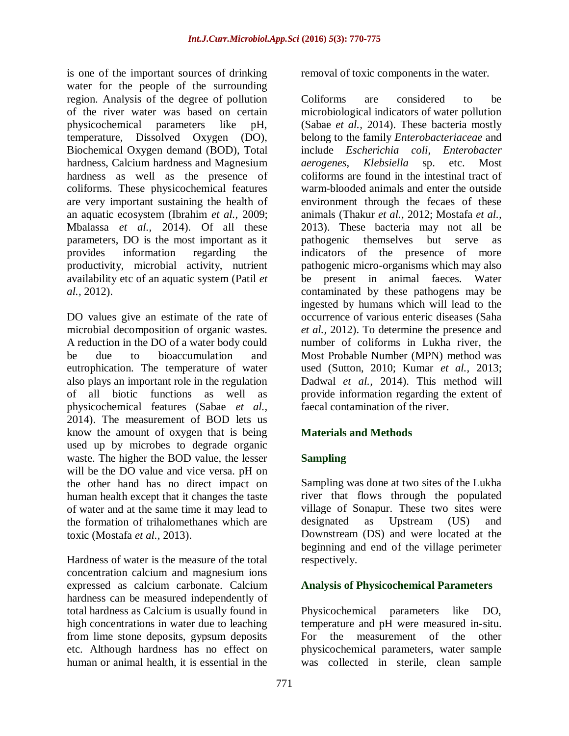is one of the important sources of drinking water for the people of the surrounding region. Analysis of the degree of pollution of the river water was based on certain physicochemical parameters like pH, temperature, Dissolved Oxygen (DO), Biochemical Oxygen demand (BOD), Total hardness, Calcium hardness and Magnesium hardness as well as the presence of coliforms. These physicochemical features are very important sustaining the health of an aquatic ecosystem (Ibrahim *et al.,* 2009; Mbalassa *et al.,* 2014). Of all these parameters, DO is the most important as it provides information regarding the productivity, microbial activity, nutrient availability etc of an aquatic system (Patil *et al.,* 2012).

DO values give an estimate of the rate of microbial decomposition of organic wastes. A reduction in the DO of a water body could be due to bioaccumulation and eutrophication. The temperature of water also plays an important role in the regulation of all biotic functions as well as physicochemical features (Sabae *et al.,* 2014). The measurement of BOD lets us know the amount of oxygen that is being used up by microbes to degrade organic waste. The higher the BOD value, the lesser will be the DO value and vice versa. pH on the other hand has no direct impact on human health except that it changes the taste of water and at the same time it may lead to the formation of trihalomethanes which are toxic (Mostafa *et al.,* 2013).

Hardness of water is the measure of the total concentration calcium and magnesium ions expressed as calcium carbonate. Calcium hardness can be measured independently of total hardness as Calcium is usually found in high concentrations in water due to leaching from lime stone deposits, gypsum deposits etc. Although hardness has no effect on human or animal health, it is essential in the

removal of toxic components in the water.

Coliforms are considered to be microbiological indicators of water pollution (Sabae *et al.,* 2014). These bacteria mostly belong to the family *Enterobacteriaceae* and include *Escherichia coli*, *Enterobacter aerogenes*, *Klebsiella* sp. etc. Most coliforms are found in the intestinal tract of warm-blooded animals and enter the outside environment through the fecaes of these animals (Thakur *et al.,* 2012; Mostafa *et al.,* 2013). These bacteria may not all be pathogenic themselves but serve as indicators of the presence of more pathogenic micro-organisms which may also be present in animal faeces. Water contaminated by these pathogens may be ingested by humans which will lead to the occurrence of various enteric diseases (Saha *et al.,* 2012). To determine the presence and number of coliforms in Lukha river, the Most Probable Number (MPN) method was used (Sutton, 2010; Kumar *et al.,* 2013; Dadwal *et al.,* 2014). This method will provide information regarding the extent of faecal contamination of the river.

#### **Materials and Methods**

#### **Sampling**

Sampling was done at two sites of the Lukha river that flows through the populated village of Sonapur. These two sites were designated as Upstream (US) and Downstream (DS) and were located at the beginning and end of the village perimeter respectively.

#### **Analysis of Physicochemical Parameters**

Physicochemical parameters like DO, temperature and pH were measured in-situ. For the measurement of the other physicochemical parameters, water sample was collected in sterile, clean sample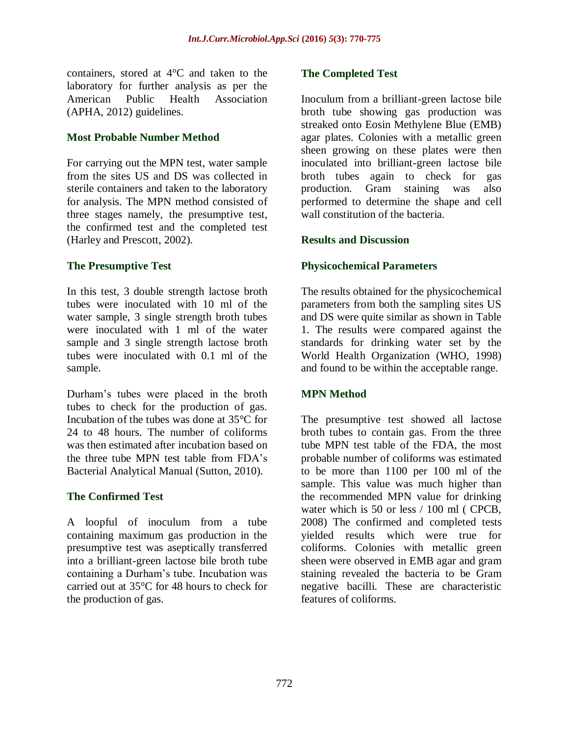containers, stored at 4°C and taken to the laboratory for further analysis as per the American Public Health Association (APHA, 2012) guidelines.

#### **Most Probable Number Method**

For carrying out the MPN test, water sample from the sites US and DS was collected in sterile containers and taken to the laboratory for analysis. The MPN method consisted of three stages namely, the presumptive test, the confirmed test and the completed test (Harley and Prescott, 2002).

## **The Presumptive Test**

In this test, 3 double strength lactose broth tubes were inoculated with 10 ml of the water sample, 3 single strength broth tubes were inoculated with 1 ml of the water sample and 3 single strength lactose broth tubes were inoculated with 0.1 ml of the sample.

Durham's tubes were placed in the broth tubes to check for the production of gas. Incubation of the tubes was done at 35°C for 24 to 48 hours. The number of coliforms was then estimated after incubation based on the three tube MPN test table from FDA's Bacterial Analytical Manual (Sutton, 2010).

#### **The Confirmed Test**

A loopful of inoculum from a tube containing maximum gas production in the presumptive test was aseptically transferred into a brilliant-green lactose bile broth tube containing a Durham's tube. Incubation was carried out at 35°C for 48 hours to check for the production of gas.

#### **The Completed Test**

Inoculum from a brilliant-green lactose bile broth tube showing gas production was streaked onto Eosin Methylene Blue (EMB) agar plates. Colonies with a metallic green sheen growing on these plates were then inoculated into brilliant-green lactose bile broth tubes again to check for gas production. Gram staining was also performed to determine the shape and cell wall constitution of the bacteria.

## **Results and Discussion**

## **Physicochemical Parameters**

The results obtained for the physicochemical parameters from both the sampling sites US and DS were quite similar as shown in Table 1. The results were compared against the standards for drinking water set by the World Health Organization (WHO, 1998) and found to be within the acceptable range.

# **MPN Method**

The presumptive test showed all lactose broth tubes to contain gas. From the three tube MPN test table of the FDA, the most probable number of coliforms was estimated to be more than 1100 per 100 ml of the sample. This value was much higher than the recommended MPN value for drinking water which is 50 or less / 100 ml ( CPCB, 2008) The confirmed and completed tests yielded results which were true for coliforms. Colonies with metallic green sheen were observed in EMB agar and gram staining revealed the bacteria to be Gram negative bacilli. These are characteristic features of coliforms.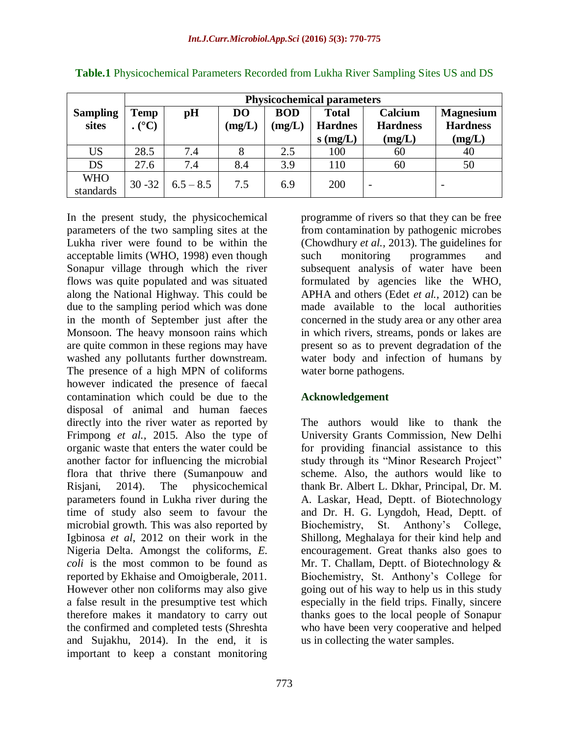|                 | <b>Physicochemical parameters</b> |             |                |            |                |                 |                  |
|-----------------|-----------------------------------|-------------|----------------|------------|----------------|-----------------|------------------|
| <b>Sampling</b> | <b>Temp</b>                       | pH          | D <sub>O</sub> | <b>BOD</b> | <b>Total</b>   | Calcium         | <b>Magnesium</b> |
| sites           | $(C^{\circ}C)$                    |             | (mg/L)         | (mg/L)     | <b>Hardnes</b> | <b>Hardness</b> | <b>Hardness</b>  |
|                 |                                   |             |                |            | $s$ (mg/L)     | (mg/L)          | (mg/L)           |
| <b>US</b>       | 28.5                              | 7.4         |                | 2.5        | 100            | 60              | 40               |
| DS              | 27.6                              | 7.4         | 8.4            | 3.9        | 110            | 60              | 50               |
| <b>WHO</b>      | $30 - 32$                         | $6.5 - 8.5$ | 7.5            | 6.9        | 200            |                 |                  |
| standards       |                                   |             |                |            |                |                 |                  |

**Table.1** Physicochemical Parameters Recorded from Lukha River Sampling Sites US and DS

In the present study, the physicochemical parameters of the two sampling sites at the Lukha river were found to be within the acceptable limits (WHO, 1998) even though Sonapur village through which the river flows was quite populated and was situated along the National Highway. This could be due to the sampling period which was done in the month of September just after the Monsoon. The heavy monsoon rains which are quite common in these regions may have washed any pollutants further downstream. The presence of a high MPN of coliforms however indicated the presence of faecal contamination which could be due to the disposal of animal and human faeces directly into the river water as reported by Frimpong *et al.,* 2015. Also the type of organic waste that enters the water could be another factor for influencing the microbial flora that thrive there (Sumanpouw and Risjani, 2014). The physicochemical parameters found in Lukha river during the time of study also seem to favour the microbial growth. This was also reported by Igbinosa *et al*, 2012 on their work in the Nigeria Delta. Amongst the coliforms, *E. coli* is the most common to be found as reported by Ekhaise and Omoigberale, 2011. However other non coliforms may also give a false result in the presumptive test which therefore makes it mandatory to carry out the confirmed and completed tests (Shreshta and Sujakhu, 2014). In the end, it is important to keep a constant monitoring

programme of rivers so that they can be free from contamination by pathogenic microbes (Chowdhury *et al.,* 2013). The guidelines for such monitoring programmes and subsequent analysis of water have been formulated by agencies like the WHO, APHA and others (Edet *et al.,* 2012) can be made available to the local authorities concerned in the study area or any other area in which rivers, streams, ponds or lakes are present so as to prevent degradation of the water body and infection of humans by water borne pathogens.

#### **Acknowledgement**

The authors would like to thank the University Grants Commission, New Delhi for providing financial assistance to this study through its "Minor Research Project" scheme. Also, the authors would like to thank Br. Albert L. Dkhar, Principal, Dr. M. A. Laskar, Head, Deptt. of Biotechnology and Dr. H. G. Lyngdoh, Head, Deptt. of Biochemistry, St. Anthony's College, Shillong, Meghalaya for their kind help and encouragement. Great thanks also goes to Mr. T. Challam, Deptt. of Biotechnology & Biochemistry, St. Anthony's College for going out of his way to help us in this study especially in the field trips. Finally, sincere thanks goes to the local people of Sonapur who have been very cooperative and helped us in collecting the water samples.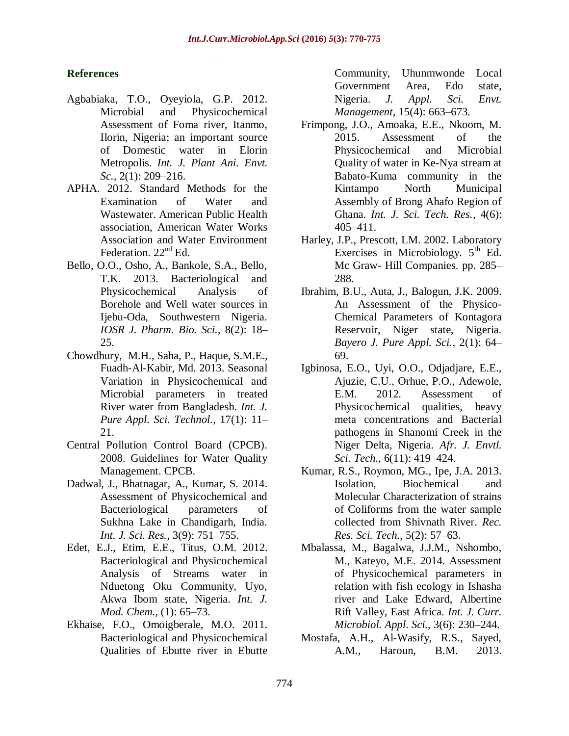## **References**

- Agbabiaka, T.O., Oyeyiola, G.P. 2012. Microbial and Physicochemical Assessment of Foma river, Itanmo, Ilorin, Nigeria; an important source of Domestic water in Elorin Metropolis. *Int. J. Plant Ani. Envt. Sc.,* 2(1): 209–216.
- APHA. 2012. Standard Methods for the Examination of Water and Wastewater. American Public Health association, American Water Works Association and Water Environment Federation.  $22<sup>nd</sup>$  Ed.
- Bello, O.O., Osho, A., Bankole, S.A., Bello, T.K. 2013. Bacteriological and Physicochemical Analysis of Borehole and Well water sources in Ijebu-Oda, Southwestern Nigeria. *IOSR J. Pharm. Bio. Sci.,* 8(2): 18– 25.
- Chowdhury, M.H., Saha, P., Haque, S.M.E., Fuadh-Al-Kabir, Md. 2013. Seasonal Variation in Physicochemical and Microbial parameters in treated River water from Bangladesh. *Int. J. Pure Appl. Sci. Technol.,* 17(1): 11– 21.
- Central Pollution Control Board (CPCB). 2008. Guidelines for Water Quality Management. CPCB.
- Dadwal, J., Bhatnagar, A., Kumar, S. 2014. Assessment of Physicochemical and Bacteriological parameters of Sukhna Lake in Chandigarh, India. *Int. J. Sci. Res.,* 3(9): 751–755.
- Edet, E.J., Etim, E.E., Titus, O.M. 2012. Bacteriological and Physicochemical Analysis of Streams water in Nduetong Oku Community, Uyo, Akwa Ibom state, Nigeria. *Int. J. Mod. Chem.,* (1): 65–73.
- Ekhaise, F.O., Omoigberale, M.O. 2011. Bacteriological and Physicochemical Qualities of Ebutte river in Ebutte

Community, Uhunmwonde Local Government Area, Edo state, Nigeria. *J. Appl. Sci. Envt. Management,* 15(4): 663–673.

- Frimpong, J.O., Amoaka, E.E., Nkoom, M. 2015. Assessment of the Physicochemical and Microbial Quality of water in Ke-Nya stream at Babato-Kuma community in the Kintampo North Municipal Assembly of Brong Ahafo Region of Ghana. *Int. J. Sci. Tech. Res.,* 4(6): 405–411.
- Harley, J.P., Prescott, LM. 2002. Laboratory Exercises in Microbiology.  $5<sup>th</sup>$  Ed. Mc Graw- Hill Companies. pp. 285– 288.
- Ibrahim, B.U., Auta, J., Balogun, J.K. 2009. An Assessment of the Physico-Chemical Parameters of Kontagora Reservoir, Niger state, Nigeria. *Bayero J. Pure Appl. Sci.,* 2(1): 64– 69.
- Igbinosa, E.O., Uyi, O.O., Odjadjare, E.E., Ajuzie, C.U., Orhue, P.O., Adewole, E.M. 2012. Assessment of Physicochemical qualities, heavy meta concentrations and Bacterial pathogens in Shanomi Creek in the Niger Delta, Nigeria. *Afr. J. Envtl. Sci. Tech.,* 6(11): 419–424.
- Kumar, R.S., Roymon, MG., Ipe, J.A. 2013. Isolation, Biochemical and Molecular Characterization of strains of Coliforms from the water sample collected from Shivnath River. *Rec. Res. Sci. Tech.,* 5(2): 57–63.
- Mbalassa, M., Bagalwa, J.J.M., Nshombo, M., Kateyo, M.E. 2014. Assessment of Physicochemical parameters in relation with fish ecology in Ishasha river and Lake Edward, Albertine Rift Valley, East Africa. *Int. J. Curr. Microbiol. Appl. Sci.,* 3(6): 230–244.
- Mostafa, A.H., Al-Wasify, R.S., Sayed, A.M., Haroun, B.M. 2013.